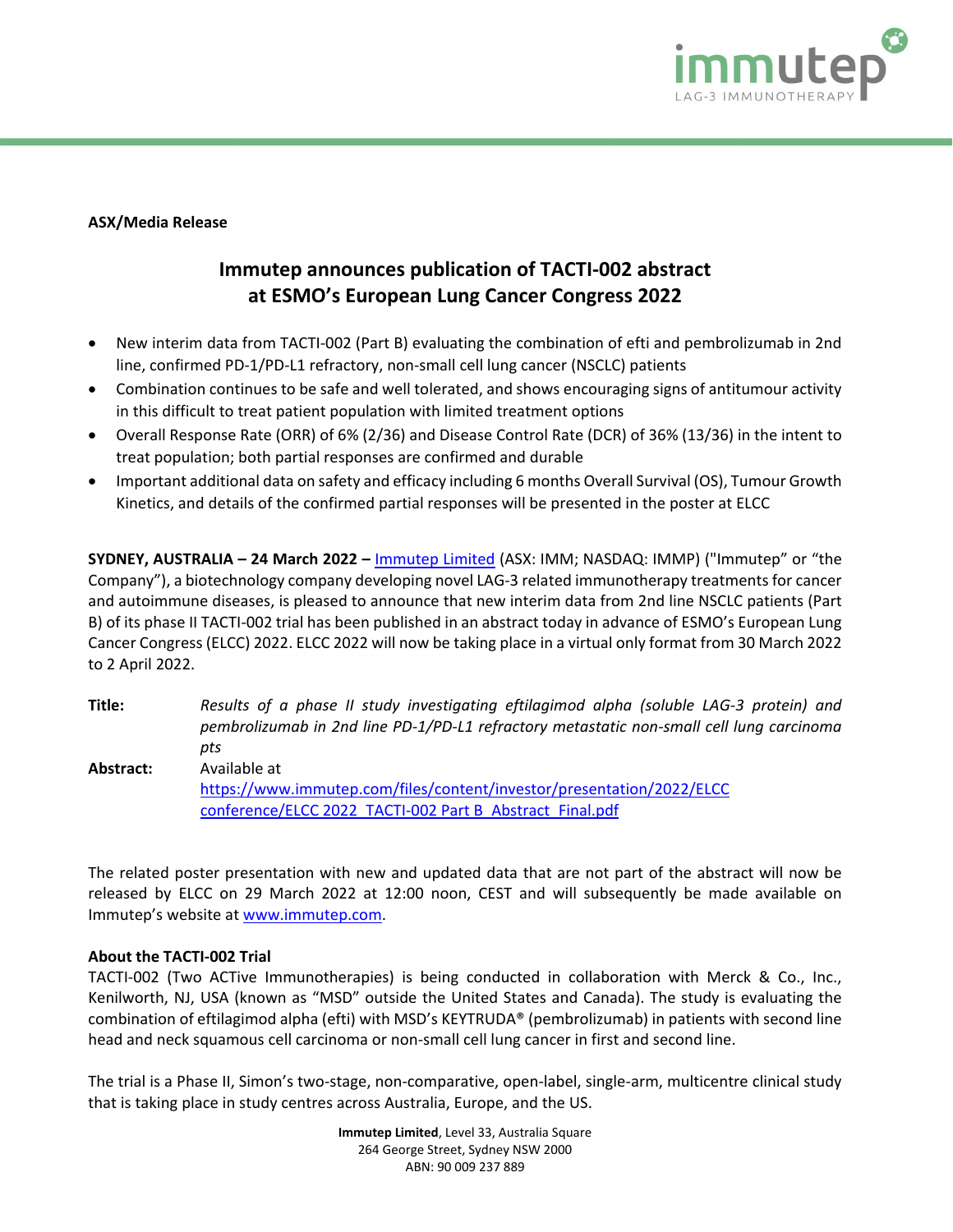

## **ASX/Media Release**

## **Immutep announces publication of TACTI-002 abstract at ESMO's European Lung Cancer Congress 2022**

- New interim data from TACTI-002 (Part B) evaluating the combination of efti and pembrolizumab in 2nd line, confirmed PD-1/PD-L1 refractory, non-small cell lung cancer (NSCLC) patients
- Combination continues to be safe and well tolerated, and shows encouraging signs of antitumour activity in this difficult to treat patient population with limited treatment options
- Overall Response Rate (ORR) of 6% (2/36) and Disease Control Rate (DCR) of 36% (13/36) in the intent to treat population; both partial responses are confirmed and durable
- Important additional data on safety and efficacy including 6 months Overall Survival (OS), Tumour Growth Kinetics, and details of the confirmed partial responses will be presented in the poster at ELCC

**SYDNEY, AUSTRALIA – 24 March 2022 –** [Immutep Limited](about:blank) (ASX: IMM; NASDAQ: IMMP) ("Immutep" or "the Company"), a biotechnology company developing novel LAG-3 related immunotherapy treatments for cancer and autoimmune diseases, is pleased to announce that new interim data from 2nd line NSCLC patients (Part B) of its phase II TACTI-002 trial has been published in an abstract today in advance of ESMO's European Lung Cancer Congress (ELCC) 2022. ELCC 2022 will now be taking place in a virtual only format from 30 March 2022 to 2 April 2022.

**Title:** *Results of a phase II study investigating eftilagimod alpha (soluble LAG-3 protein) and pembrolizumab in 2nd line PD-1/PD-L1 refractory metastatic non-small cell lung carcinoma pts* **Abstract:** Available at [https://www.immutep.com/files/content/investor/presentation/2022/ELCC](https://www.immutep.com/files/content/investor/presentation/2022/ELCC%20conference/ELCC%202022_TACTI-002%20Part%20B_Abstract_Final.pdf)  [conference/ELCC 2022\\_TACTI-002 Part B\\_Abstract\\_Final.pdf](https://www.immutep.com/files/content/investor/presentation/2022/ELCC%20conference/ELCC%202022_TACTI-002%20Part%20B_Abstract_Final.pdf)

The related poster presentation with new and updated data that are not part of the abstract will now be released by ELCC on 29 March 2022 at 12:00 noon, CEST and will subsequently be made available on Immutep's website at [www.immutep.com.](http://www.immutep.com/)

## **About the TACTI-002 Trial**

TACTI-002 (Two ACTive Immunotherapies) is being conducted in collaboration with Merck & Co., Inc., Kenilworth, NJ, USA (known as "MSD" outside the United States and Canada). The study is evaluating the combination of eftilagimod alpha (efti) with MSD's KEYTRUDA® (pembrolizumab) in patients with second line head and neck squamous cell carcinoma or non-small cell lung cancer in first and second line.

The trial is a Phase II, Simon's two-stage, non-comparative, open-label, single-arm, multicentre clinical study that is taking place in study centres across Australia, Europe, and the US.

> **Immutep Limited**, Level 33, Australia Square 264 George Street, Sydney NSW 2000 ABN: 90 009 237 889